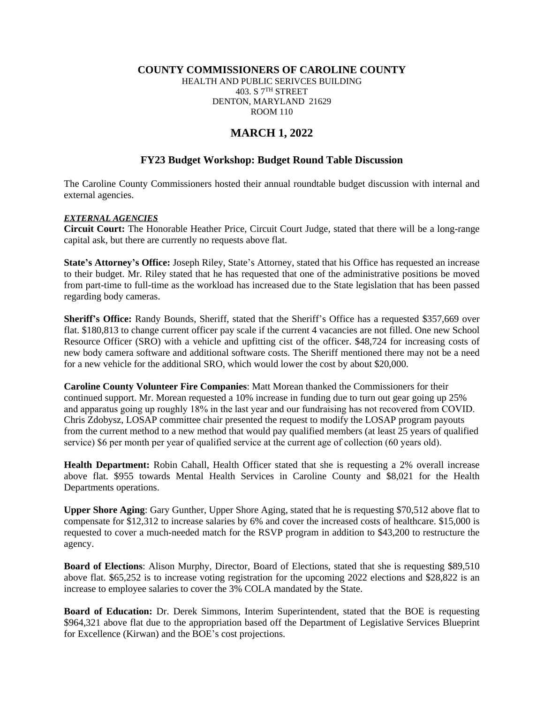#### **COUNTY COMMISSIONERS OF CAROLINE COUNTY**

HEALTH AND PUBLIC SERIVCES BUILDING 403. S 7TH STREET DENTON, MARYLAND 21629 ROOM 110

# **MARCH 1, 2022**

### **FY23 Budget Workshop: Budget Round Table Discussion**

The Caroline County Commissioners hosted their annual roundtable budget discussion with internal and external agencies.

#### *EXTERNAL AGENCIES*

**Circuit Court:** The Honorable Heather Price, Circuit Court Judge, stated that there will be a long-range capital ask, but there are currently no requests above flat.

**State's Attorney's Office:** Joseph Riley, State's Attorney, stated that his Office has requested an increase to their budget. Mr. Riley stated that he has requested that one of the administrative positions be moved from part-time to full-time as the workload has increased due to the State legislation that has been passed regarding body cameras.

**Sheriff's Office:** Randy Bounds, Sheriff, stated that the Sheriff's Office has a requested \$357,669 over flat. \$180,813 to change current officer pay scale if the current 4 vacancies are not filled. One new School Resource Officer (SRO) with a vehicle and upfitting cist of the officer. \$48,724 for increasing costs of new body camera software and additional software costs. The Sheriff mentioned there may not be a need for a new vehicle for the additional SRO, which would lower the cost by about \$20,000.

**Caroline County Volunteer Fire Companies**: Matt Morean thanked the Commissioners for their continued support. Mr. Morean requested a 10% increase in funding due to turn out gear going up 25% and apparatus going up roughly 18% in the last year and our fundraising has not recovered from COVID. Chris Zdobysz, LOSAP committee chair presented the request to modify the LOSAP program payouts from the current method to a new method that would pay qualified members (at least 25 years of qualified service) \$6 per month per year of qualified service at the current age of collection (60 years old).

**Health Department:** Robin Cahall, Health Officer stated that she is requesting a 2% overall increase above flat. \$955 towards Mental Health Services in Caroline County and \$8,021 for the Health Departments operations.

**Upper Shore Aging**: Gary Gunther, Upper Shore Aging, stated that he is requesting \$70,512 above flat to compensate for \$12,312 to increase salaries by 6% and cover the increased costs of healthcare. \$15,000 is requested to cover a much-needed match for the RSVP program in addition to \$43,200 to restructure the agency.

**Board of Elections**: Alison Murphy, Director, Board of Elections, stated that she is requesting \$89,510 above flat. \$65,252 is to increase voting registration for the upcoming 2022 elections and \$28,822 is an increase to employee salaries to cover the 3% COLA mandated by the State.

**Board of Education:** Dr. Derek Simmons, Interim Superintendent, stated that the BOE is requesting \$964,321 above flat due to the appropriation based off the Department of Legislative Services Blueprint for Excellence (Kirwan) and the BOE's cost projections.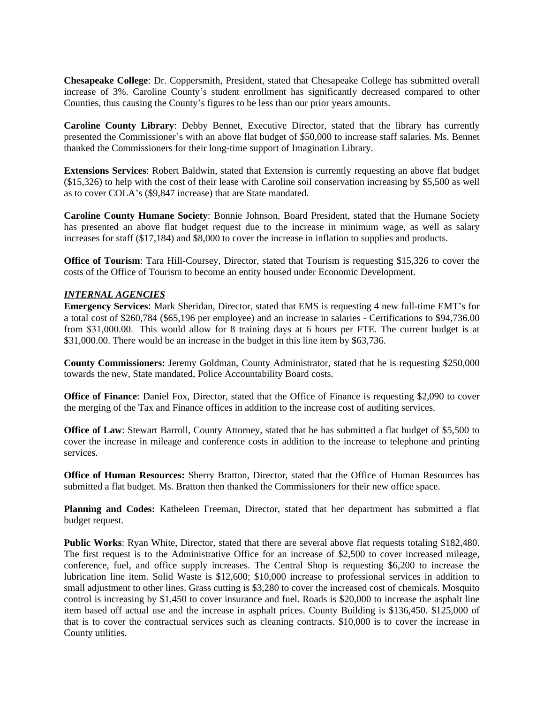**Chesapeake College**: Dr. Coppersmith, President, stated that Chesapeake College has submitted overall increase of 3%. Caroline County's student enrollment has significantly decreased compared to other Counties, thus causing the County's figures to be less than our prior years amounts.

**Caroline County Library**: Debby Bennet, Executive Director, stated that the library has currently presented the Commissioner's with an above flat budget of \$50,000 to increase staff salaries. Ms. Bennet thanked the Commissioners for their long-time support of Imagination Library.

**Extensions Services**: Robert Baldwin, stated that Extension is currently requesting an above flat budget (\$15,326) to help with the cost of their lease with Caroline soil conservation increasing by \$5,500 as well as to cover COLA's (\$9,847 increase) that are State mandated.

**Caroline County Humane Society**: Bonnie Johnson, Board President, stated that the Humane Society has presented an above flat budget request due to the increase in minimum wage, as well as salary increases for staff (\$17,184) and \$8,000 to cover the increase in inflation to supplies and products.

**Office of Tourism**: Tara Hill-Coursey, Director, stated that Tourism is requesting \$15,326 to cover the costs of the Office of Tourism to become an entity housed under Economic Development.

## *INTERNAL AGENCIES*

**Emergency Services**: Mark Sheridan, Director, stated that EMS is requesting 4 new full-time EMT's for a total cost of \$260,784 (\$65,196 per employee) and an increase in salaries - Certifications to \$94,736.00 from \$31,000.00. This would allow for 8 training days at 6 hours per FTE. The current budget is at \$31,000.00. There would be an increase in the budget in this line item by \$63,736.

**County Commissioners:** Jeremy Goldman, County Administrator, stated that he is requesting \$250,000 towards the new, State mandated, Police Accountability Board costs.

**Office of Finance**: Daniel Fox, Director, stated that the Office of Finance is requesting \$2,090 to cover the merging of the Tax and Finance offices in addition to the increase cost of auditing services.

**Office of Law**: Stewart Barroll, County Attorney, stated that he has submitted a flat budget of \$5,500 to cover the increase in mileage and conference costs in addition to the increase to telephone and printing services.

**Office of Human Resources:** Sherry Bratton, Director, stated that the Office of Human Resources has submitted a flat budget. Ms. Bratton then thanked the Commissioners for their new office space.

**Planning and Codes:** Katheleen Freeman, Director, stated that her department has submitted a flat budget request.

**Public Works**: Ryan White, Director, stated that there are several above flat requests totaling \$182,480. The first request is to the Administrative Office for an increase of \$2,500 to cover increased mileage, conference, fuel, and office supply increases. The Central Shop is requesting \$6,200 to increase the lubrication line item. Solid Waste is \$12,600; \$10,000 increase to professional services in addition to small adjustment to other lines. Grass cutting is \$3,280 to cover the increased cost of chemicals. Mosquito control is increasing by \$1,450 to cover insurance and fuel. Roads is \$20,000 to increase the asphalt line item based off actual use and the increase in asphalt prices. County Building is \$136,450. \$125,000 of that is to cover the contractual services such as cleaning contracts. \$10,000 is to cover the increase in County utilities.